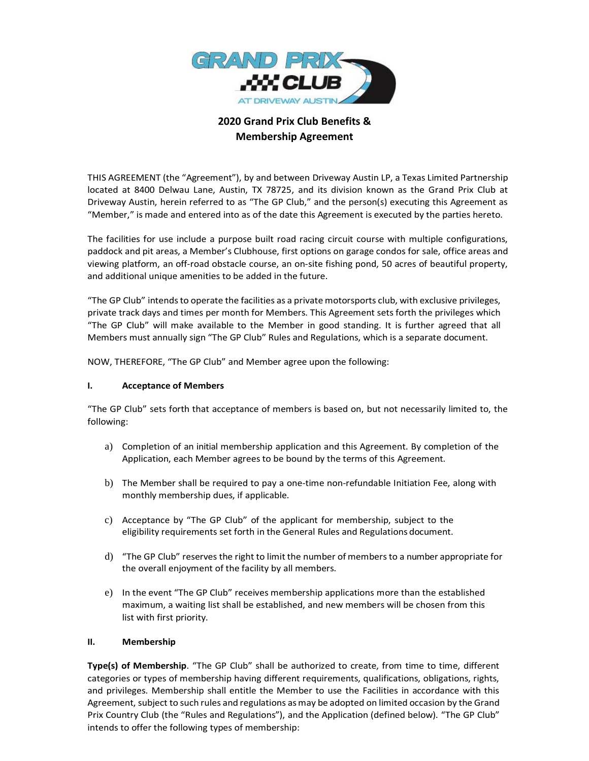

# **2020 Grand Prix Club Benefits & Membership Agreement**

THIS AGREEMENT (the "Agreement"), by and between Driveway Austin LP, a Texas Limited Partnership located at 8400 Delwau Lane, Austin, TX 78725, and its division known as the Grand Prix Club at Driveway Austin, herein referred to as "The GP Club," and the person(s) executing this Agreement as "Member," is made and entered into as of the date this Agreement is executed by the parties hereto.

The facilities for use include a purpose built road racing circuit course with multiple configurations, paddock and pit areas, a Member's Clubhouse, first options on garage condos for sale, office areas and viewing platform, an off-road obstacle course, an on-site fishing pond, 50 acres of beautiful property, and additional unique amenities to be added in the future.

"The GP Club" intendsto operate the facilities as a private motorsports club, with exclusive privileges, private track days and times per month for Members. This Agreement sets forth the privileges which "The GP Club" will make available to the Member in good standing. It is further agreed that all Members must annually sign "The GP Club" Rules and Regulations, which is a separate document.

NOW, THEREFORE, "The GP Club" and Member agree upon the following:

### **I. Acceptance of Members**

"The GP Club" sets forth that acceptance of members is based on, but not necessarily limited to, the following:

- a) Completion of an initial membership application and this Agreement. By completion of the Application, each Member agrees to be bound by the terms of this Agreement.
- b) The Member shall be required to pay a one-time non-refundable Initiation Fee, along with monthly membership dues, if applicable.
- c) Acceptance by "The GP Club" of the applicant for membership, subject to the eligibility requirements set forth in the General Rules and Regulations document.
- d) "The GP Club" reserves the right to limit the number of membersto a number appropriate for the overall enjoyment of the facility by all members.
- e) In the event "The GP Club" receives membership applications more than the established maximum, a waiting list shall be established, and new members will be chosen from this list with first priority.

#### **II. Membership**

**Type(s) of Membership**. "The GP Club" shall be authorized to create, from time to time, different categories or types of membership having different requirements, qualifications, obligations, rights, and privileges. Membership shall entitle the Member to use the Facilities in accordance with this Agreement, subject to such rules and regulations as may be adopted on limited occasion by the Grand Prix Country Club (the "Rules and Regulations"), and the Application (defined below). "The GP Club" intends to offer the following types of membership: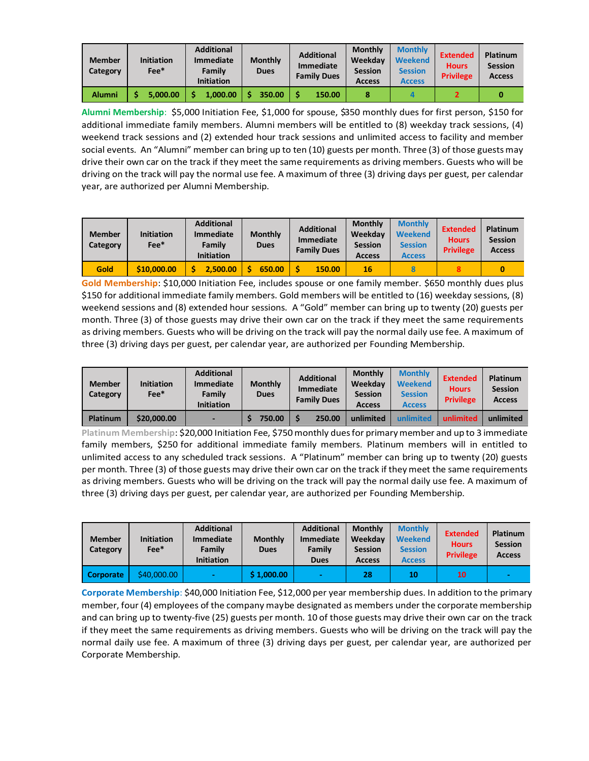| <b>Member</b><br>Category | <b>Initiation</b><br>$Fee*$ | <b>Additional</b><br><b>Immediate</b><br>Family<br><b>Initiation</b> | <b>Monthly</b><br><b>Dues</b> | <b>Additional</b><br><b>Immediate</b><br><b>Family Dues</b> | <b>Monthly</b><br>Weekdav<br><b>Session</b><br><b>Access</b> | <b>Monthly</b><br><b>Weekend</b><br><b>Session</b><br><b>Access</b> | <b>Extended</b><br><b>Hours</b><br><b>Privilege</b> | Platinum<br><b>Session</b><br><b>Access</b> |
|---------------------------|-----------------------------|----------------------------------------------------------------------|-------------------------------|-------------------------------------------------------------|--------------------------------------------------------------|---------------------------------------------------------------------|-----------------------------------------------------|---------------------------------------------|
| <b>Alumni</b>             | 5.000.00                    | 1.000.00                                                             | 350.00                        | 150.00                                                      |                                                              |                                                                     |                                                     |                                             |

**Alumni Membership**: \$5,000 Initiation Fee, \$1,000 for spouse, \$350 monthly dues for first person, \$150 for additional immediate family members. Alumni members will be entitled to (8) weekday track sessions, (4) weekend track sessions and (2) extended hour track sessions and unlimited access to facility and member social events. An "Alumni" member can bring up to ten (10) guests per month. Three (3) of those guests may drive their own car on the track if they meet the same requirements as driving members. Guests who will be driving on the track will pay the normal use fee. A maximum of three (3) driving days per guest, per calendar year, are authorized per Alumni Membership.

| <b>Member</b><br>Category | <b>Initiation</b><br>Fee* | <b>Additional</b><br><b>Immediate</b><br>Family<br><b>Initiation</b> | <b>Monthly</b><br><b>Dues</b> | <b>Additional</b><br><b>Immediate</b><br><b>Family Dues</b> | <b>Monthly</b><br>Weekdav<br><b>Session</b><br><b>Access</b> | <b>Monthly</b><br><b>Weekend</b><br><b>Session</b><br><b>Access</b> | <b>Extended</b><br><b>Hours</b><br><b>Privilege</b> | Platinum<br><b>Session</b><br><b>Access</b> |
|---------------------------|---------------------------|----------------------------------------------------------------------|-------------------------------|-------------------------------------------------------------|--------------------------------------------------------------|---------------------------------------------------------------------|-----------------------------------------------------|---------------------------------------------|
| Gold                      | \$10,000,00               | 2.500.00                                                             | 650.00                        | 150.00                                                      | 16                                                           |                                                                     |                                                     |                                             |

**Gold Membership**: \$10,000 Initiation Fee, includes spouse or one family member. \$650 monthly dues plus \$150 for additional immediate family members. Gold members will be entitled to (16) weekday sessions, (8) weekend sessions and (8) extended hour sessions. A "Gold" member can bring up to twenty (20) guests per month. Three (3) of those guests may drive their own car on the track if they meet the same requirements as driving members. Guests who will be driving on the track will pay the normal daily use fee. A maximum of three (3) driving days per guest, per calendar year, are authorized per Founding Membership.

| <b>Member</b><br>Category | <b>Initiation</b><br>$Fee*$ | <b>Additional</b><br>Immediate<br>Family<br><b>Initiation</b> | <b>Monthly</b><br><b>Dues</b> | <b>Additional</b><br>Immediate<br><b>Family Dues</b> | <b>Monthly</b><br>Weekdav<br><b>Session</b><br><b>Access</b> | <b>Monthly</b><br><b>Weekend</b><br><b>Session</b><br><b>Access</b> | <b>Extended</b><br><b>Hours</b><br><b>Privilege</b> | <b>Platinum</b><br><b>Session</b><br><b>Access</b> |
|---------------------------|-----------------------------|---------------------------------------------------------------|-------------------------------|------------------------------------------------------|--------------------------------------------------------------|---------------------------------------------------------------------|-----------------------------------------------------|----------------------------------------------------|
| <b>Platinum</b>           | \$20,000.00                 |                                                               | 750.00                        | 250.00                                               | unlimited                                                    | unlimited                                                           | unlimited                                           | unlimited                                          |

**Platinum Membership**: \$20,000 Initiation Fee, \$750monthly dues for primary member and up to 3 immediate family members, \$250 for additional immediate family members. Platinum members will in entitled to unlimited access to any scheduled track sessions. A "Platinum" member can bring up to twenty (20) guests per month. Three (3) of those guests may drive their own car on the track if they meet the same requirements as driving members. Guests who will be driving on the track will pay the normal daily use fee. A maximum of three (3) driving days per guest, per calendar year, are authorized per Founding Membership.

| <b>Member</b><br>Category | <b>Initiation</b><br>$Fee*$ | <b>Additional</b><br><b>Immediate</b><br>Family<br><b>Initiation</b> | <b>Monthly</b><br><b>Dues</b> | <b>Additional</b><br><b>Immediate</b><br>Family<br><b>Dues</b> | <b>Monthly</b><br>Weekdav<br><b>Session</b><br><b>Access</b> | <b>Monthly</b><br><b>Weekend</b><br><b>Session</b><br><b>Access</b> | <b>Extended</b><br><b>Hours</b><br><b>Privilege</b> | Platinum<br><b>Session</b><br><b>Access</b> |
|---------------------------|-----------------------------|----------------------------------------------------------------------|-------------------------------|----------------------------------------------------------------|--------------------------------------------------------------|---------------------------------------------------------------------|-----------------------------------------------------|---------------------------------------------|
| <b>Corporate</b>          | \$40,000.00                 |                                                                      | \$1,000.00                    |                                                                | 28                                                           | 10                                                                  | 10                                                  |                                             |

**Corporate Membership**: \$40,000 Initiation Fee, \$12,000 per year membership dues. In addition to the primary member, four (4) employees of the company maybe designated as members under the corporate membership and can bring up to twenty-five (25) guests per month. 10 of those guests may drive their own car on the track if they meet the same requirements as driving members. Guests who will be driving on the track will pay the normal daily use fee. A maximum of three (3) driving days per guest, per calendar year, are authorized per Corporate Membership.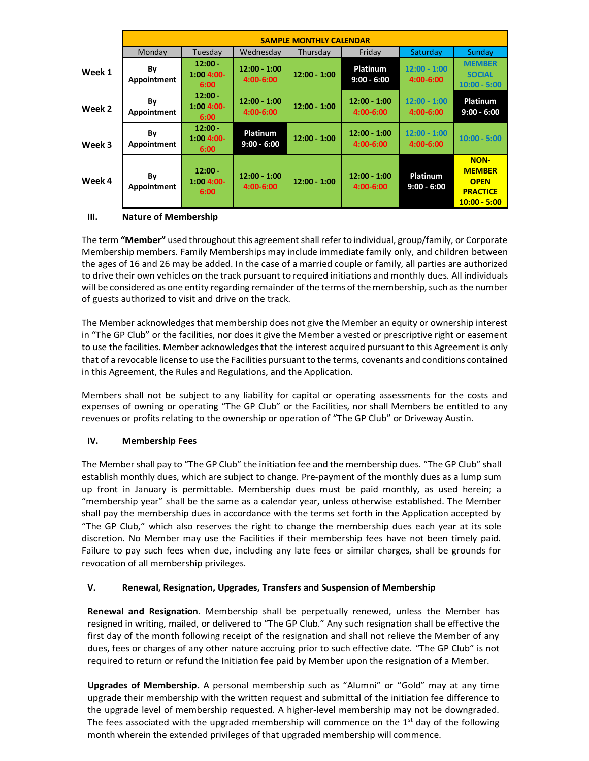|        | <b>SAMPLE MONTHLY CALENDAR</b> |                                  |                                  |                |                                  |                                 |                                                                                  |  |  |
|--------|--------------------------------|----------------------------------|----------------------------------|----------------|----------------------------------|---------------------------------|----------------------------------------------------------------------------------|--|--|
|        | Monday                         | Tuesday                          | Wednesdav                        | Thursday       | Fridav                           | Saturday                        | Sunday                                                                           |  |  |
| Week 1 | Βy<br>Appointment              | $12:00 -$<br>$1:004:00-$<br>6:00 | $12:00 - 1:00$<br>4:00-6:00      | $12:00 - 1:00$ | <b>Platinum</b><br>$9:00 - 6:00$ | $12:00 - 1:00$<br>4:00-6:00     | <b>MEMBER</b><br><b>SOCIAL</b><br>$10:00 - 5:00$                                 |  |  |
| Week 2 | By<br>Appointment              | $12:00 -$<br>$1:004:00-$<br>6:00 | $12:00 - 1:00$<br>$4:00 - 6:00$  | $12:00 - 1:00$ | $12:00 - 1:00$<br>4:00-6:00      | $12:00 - 1:00$<br>$4:00 - 6:00$ | <b>Platinum</b><br>$9:00 - 6:00$                                                 |  |  |
| Week 3 | By<br>Appointment              | $12:00 -$<br>$1:004:00-$<br>6:00 | <b>Platinum</b><br>$9:00 - 6:00$ | $12:00 - 1:00$ | $12:00 - 1:00$<br>$4:00 - 6:00$  | $12:00 - 1:00$<br>4:00-6:00     | $10:00 - 5:00$                                                                   |  |  |
| Week 4 | By<br>Appointment              | $12:00 -$<br>$1:004:00-$<br>6:00 | $12:00 - 1:00$<br>$4:00 - 6:00$  | $12:00 - 1:00$ | $12:00 - 1:00$<br>4:00-6:00      | Platinum<br>$9:00 - 6:00$       | <b>NON-</b><br><b>MEMBER</b><br><b>OPEN</b><br><b>PRACTICE</b><br>$10:00 - 5:00$ |  |  |

#### **III. Nature of Membership**

The term **"Member"** used throughout this agreement shall refer to individual, group/family, or Corporate Membership members. Family Memberships may include immediate family only, and children between the ages of 16 and 26 may be added. In the case of a married couple or family, all parties are authorized to drive their own vehicles on the track pursuant to required initiations and monthly dues. All individuals will be considered as one entity regarding remainder of the terms of the membership, such as the number of guests authorized to visit and drive on the track.

The Member acknowledges that membership does not give the Member an equity or ownership interest in "The GP Club" or the facilities, nor does it give the Member a vested or prescriptive right or easement to use the facilities. Member acknowledges that the interest acquired pursuant to this Agreement is only that of a revocable license to use the Facilities pursuant to the terms, covenants and conditions contained in this Agreement, the Rules and Regulations, and the Application.

Members shall not be subject to any liability for capital or operating assessments for the costs and expenses of owning or operating "The GP Club" or the Facilities, nor shall Members be entitled to any revenues or profits relating to the ownership or operation of "The GP Club" or Driveway Austin.

## **IV. Membership Fees**

The Member shall pay to "The GP Club" the initiation fee and the membership dues. "The GP Club" shall establish monthly dues, which are subject to change. Pre-payment of the monthly dues as a lump sum up front in January is permittable. Membership dues must be paid monthly, as used herein; a "membership year" shall be the same as a calendar year, unless otherwise established. The Member shall pay the membership dues in accordance with the terms set forth in the Application accepted by "The GP Club," which also reserves the right to change the membership dues each year at its sole discretion. No Member may use the Facilities if their membership fees have not been timely paid. Failure to pay such fees when due, including any late fees or similar charges, shall be grounds for revocation of all membership privileges.

## **V. Renewal, Resignation, Upgrades, Transfers and Suspension of Membership**

**Renewal and Resignation**. Membership shall be perpetually renewed, unless the Member has resigned in writing, mailed, or delivered to "The GP Club." Any such resignation shall be effective the first day of the month following receipt of the resignation and shall not relieve the Member of any dues, fees or charges of any other nature accruing prior to such effective date. "The GP Club" is not required to return or refund the Initiation fee paid by Member upon the resignation of a Member.

**Upgrades of Membership.** A personal membership such as "Alumni" or "Gold" may at any time upgrade their membership with the written request and submittal of the initiation fee difference to the upgrade level of membership requested. A higher-level membership may not be downgraded. The fees associated with the upgraded membership will commence on the  $1<sup>st</sup>$  day of the following month wherein the extended privileges of that upgraded membership will commence.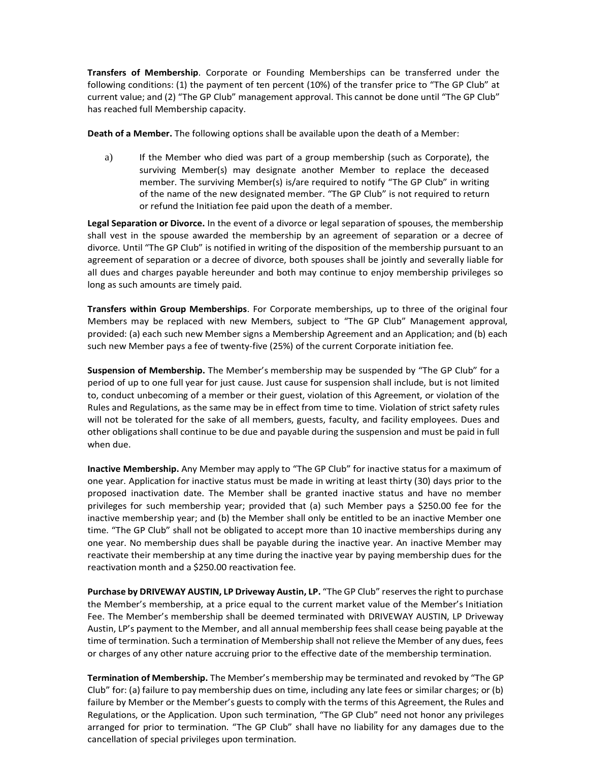**Transfers of Membership**. Corporate or Founding Memberships can be transferred under the following conditions: (1) the payment of ten percent (10%) of the transfer price to "The GP Club" at current value; and (2) "The GP Club" management approval. This cannot be done until "The GP Club" has reached full Membership capacity.

**Death of a Member.** The following options shall be available upon the death of a Member:

a) If the Member who died was part of a group membership (such as Corporate), the surviving Member(s) may designate another Member to replace the deceased member. The surviving Member(s) is/are required to notify "The GP Club" in writing of the name of the new designated member. "The GP Club" is not required to return or refund the Initiation fee paid upon the death of a member.

**Legal Separation or Divorce.** In the event of a divorce or legal separation of spouses, the membership shall vest in the spouse awarded the membership by an agreement of separation or a decree of divorce. Until "The GP Club" is notified in writing of the disposition of the membership pursuant to an agreement of separation or a decree of divorce, both spouses shall be jointly and severally liable for all dues and charges payable hereunder and both may continue to enjoy membership privileges so long as such amounts are timely paid.

**Transfers within Group Memberships**. For Corporate memberships, up to three of the original four Members may be replaced with new Members, subject to "The GP Club" Management approval, provided: (a) each such new Member signs a Membership Agreement and an Application; and (b) each such new Member pays a fee of twenty-five (25%) of the current Corporate initiation fee.

**Suspension of Membership.** The Member's membership may be suspended by "The GP Club" for a period of up to one full year for just cause. Just cause for suspension shall include, but is not limited to, conduct unbecoming of a member or their guest, violation of this Agreement, or violation of the Rules and Regulations, as the same may be in effect from time to time. Violation of strict safety rules will not be tolerated for the sake of all members, guests, faculty, and facility employees. Dues and other obligations shall continue to be due and payable during the suspension and must be paid in full when due.

**Inactive Membership.** Any Member may apply to "The GP Club" for inactive status for a maximum of one year. Application for inactive status must be made in writing at least thirty (30) days prior to the proposed inactivation date. The Member shall be granted inactive status and have no member privileges for such membership year; provided that (a) such Member pays a \$250.00 fee for the inactive membership year; and (b) the Member shall only be entitled to be an inactive Member one time. "The GP Club" shall not be obligated to accept more than 10 inactive memberships during any one year. No membership dues shall be payable during the inactive year. An inactive Member may reactivate their membership at any time during the inactive year by paying membership dues for the reactivation month and a \$250.00 reactivation fee.

**Purchase by DRIVEWAY AUSTIN, LP Driveway Austin, LP.** "The GP Club" reserves the right to purchase the Member's membership, at a price equal to the current market value of the Member's Initiation Fee. The Member's membership shall be deemed terminated with DRIVEWAY AUSTIN, LP Driveway Austin, LP's payment to the Member, and all annual membership fees shall cease being payable at the time of termination. Such a termination of Membership shall not relieve the Member of any dues, fees or charges of any other nature accruing prior to the effective date of the membership termination.

**Termination of Membership.** The Member's membership may be terminated and revoked by "The GP Club" for: (a) failure to pay membership dues on time, including any late fees or similar charges; or (b) failure by Member or the Member's guests to comply with the terms of this Agreement, the Rules and Regulations, or the Application. Upon such termination, "The GP Club" need not honor any privileges arranged for prior to termination. "The GP Club" shall have no liability for any damages due to the cancellation of special privileges upon termination.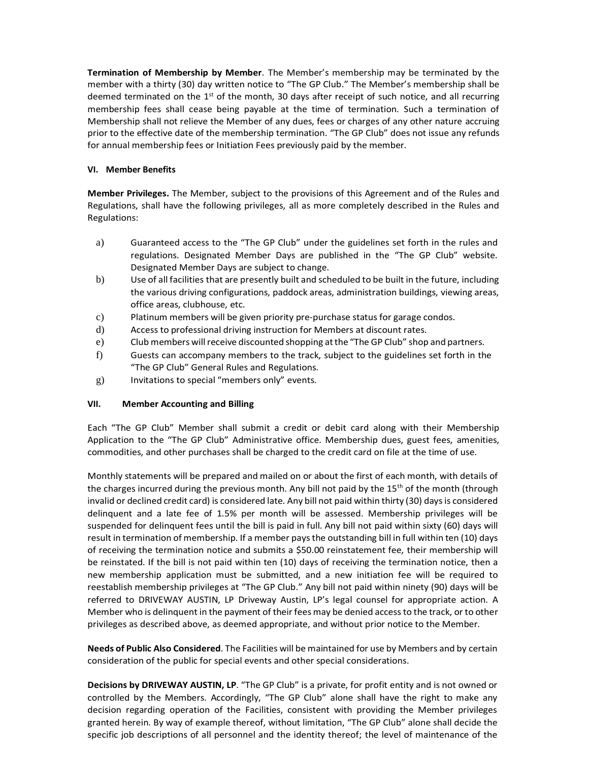**Termination of Membership by Member**. The Member's membership may be terminated by the member with a thirty (30) day written notice to "The GP Club." The Member's membership shall be deemed terminated on the  $1<sup>st</sup>$  of the month, 30 days after receipt of such notice, and all recurring membership fees shall cease being payable at the time of termination. Such a termination of Membership shall not relieve the Member of any dues, fees or charges of any other nature accruing prior to the effective date of the membership termination. "The GP Club" does not issue any refunds for annual membership fees or Initiation Fees previously paid by the member.

#### **VI. Member Benefits**

**Member Privileges.** The Member, subject to the provisions of this Agreement and of the Rules and Regulations, shall have the following privileges, all as more completely described in the Rules and Regulations:

- a) Guaranteed access to the "The GP Club" under the guidelines set forth in the rules and regulations. Designated Member Days are published in the "The GP Club" website. Designated Member Days are subject to change.
- b) Use of all facilities that are presently built and scheduled to be built in the future, including the various driving configurations, paddock areas, administration buildings, viewing areas, office areas, clubhouse, etc.
- c) Platinum members will be given priority pre-purchase status for garage condos.
- d) Access to professional driving instruction for Members at discount rates.
- e) Club members willreceive discounted shopping atthe "The GP Club" shop and partners.
- f) Guests can accompany members to the track, subject to the guidelines set forth in the "The GP Club" General Rules and Regulations.
- g) Invitations to special "members only" events.

## **VII. Member Accounting and Billing**

Each "The GP Club" Member shall submit a credit or debit card along with their Membership Application to the "The GP Club" Administrative office. Membership dues, guest fees, amenities, commodities, and other purchases shall be charged to the credit card on file at the time of use.

Monthly statements will be prepared and mailed on or about the first of each month, with details of the charges incurred during the previous month. Any bill not paid by the  $15<sup>th</sup>$  of the month (through invalid or declined credit card) is considered late. Any bill not paid within thirty (30) days is considered delinquent and a late fee of 1.5% per month will be assessed. Membership privileges will be suspended for delinquent fees until the bill is paid in full. Any bill not paid within sixty (60) days will result in termination of membership. If a member pays the outstanding bill in full within ten (10) days of receiving the termination notice and submits a \$50.00 reinstatement fee, their membership will be reinstated. If the bill is not paid within ten (10) days of receiving the termination notice, then a new membership application must be submitted, and a new initiation fee will be required to reestablish membership privileges at "The GP Club." Any bill not paid within ninety (90) days will be referred to DRIVEWAY AUSTIN, LP Driveway Austin, LP's legal counsel for appropriate action. A Member who is delinquent in the payment of their fees may be denied access to the track, or to other privileges as described above, as deemed appropriate, and without prior notice to the Member.

**Needs of Public Also Considered**. The Facilities will be maintained for use by Members and by certain consideration of the public for special events and other special considerations.

**Decisions by DRIVEWAY AUSTIN, LP**. "The GP Club" is a private, for profit entity and is not owned or controlled by the Members. Accordingly, "The GP Club" alone shall have the right to make any decision regarding operation of the Facilities, consistent with providing the Member privileges granted herein. By way of example thereof, without limitation, "The GP Club" alone shall decide the specific job descriptions of all personnel and the identity thereof; the level of maintenance of the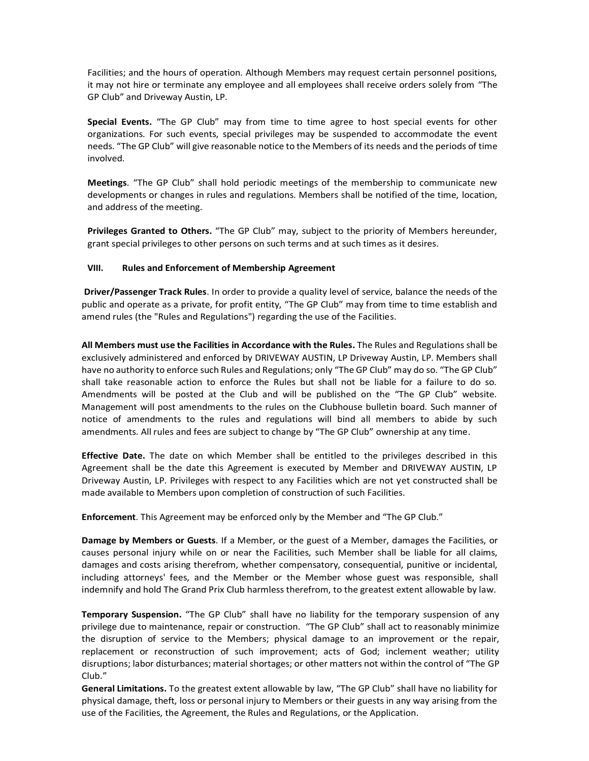Facilities; and the hours of operation. Although Members may request certain personnel positions, it may not hire or terminate any employee and all employees shall receive orders solely from "The GP Club" and Driveway Austin, LP.

**Special Events.** "The GP Club" may from time to time agree to host special events for other organizations. For such events, special privileges may be suspended to accommodate the event needs. "The GP Club" will give reasonable notice to the Members of its needs and the periods of time involved.

**Meetings**. "The GP Club" shall hold periodic meetings of the membership to communicate new developments or changes in rules and regulations. Members shall be notified of the time, location, and address of the meeting.

**Privileges Granted to Others.** "The GP Club" may, subject to the priority of Members hereunder, grant special privileges to other persons on such terms and at such times as it desires.

#### **VIII. Rules and Enforcement of Membership Agreement**

**Driver/Passenger Track Rules**. In order to provide a quality level of service, balance the needs of the public and operate as a private, for profit entity, "The GP Club" may from time to time establish and amend rules (the "Rules and Regulations") regarding the use of the Facilities.

**All Members must use the Facilities in Accordance with the Rules.** The Rules and Regulations shall be exclusively administered and enforced by DRIVEWAY AUSTIN, LP Driveway Austin, LP. Members shall have no authority to enforce such Rules and Regulations; only "The GP Club" may do so. "The GP Club" shall take reasonable action to enforce the Rules but shall not be liable for a failure to do so. Amendments will be posted at the Club and will be published on the "The GP Club" website. Management will post amendments to the rules on the Clubhouse bulletin board. Such manner of notice of amendments to the rules and regulations will bind all members to abide by such amendments. All rules and fees are subject to change by "The GP Club" ownership at any time.

**Effective Date.** The date on which Member shall be entitled to the privileges described in this Agreement shall be the date this Agreement is executed by Member and DRIVEWAY AUSTIN, LP Driveway Austin, LP. Privileges with respect to any Facilities which are not yet constructed shall be made available to Members upon completion of construction of such Facilities.

**Enforcement**. This Agreement may be enforced only by the Member and "The GP Club."

**Damage by Members or Guests**. If a Member, or the guest of a Member, damages the Facilities, or causes personal injury while on or near the Facilities, such Member shall be liable for all claims, damages and costs arising therefrom, whether compensatory, consequential, punitive or incidental, including attorneys' fees, and the Member or the Member whose guest was responsible, shall indemnify and hold The Grand Prix Club harmless therefrom, to the greatest extent allowable by law.

**Temporary Suspension.** "The GP Club" shall have no liability for the temporary suspension of any privilege due to maintenance, repair or construction. "The GP Club" shall act to reasonably minimize the disruption of service to the Members; physical damage to an improvement or the repair, replacement or reconstruction of such improvement; acts of God; inclement weather; utility disruptions; labor disturbances; material shortages; or other matters not within the control of "The GP Club."

**General Limitations.** To the greatest extent allowable by law, "The GP Club" shall have no liability for physical damage, theft, loss or personal injury to Members or their guests in any way arising from the use of the Facilities, the Agreement, the Rules and Regulations, or the Application.